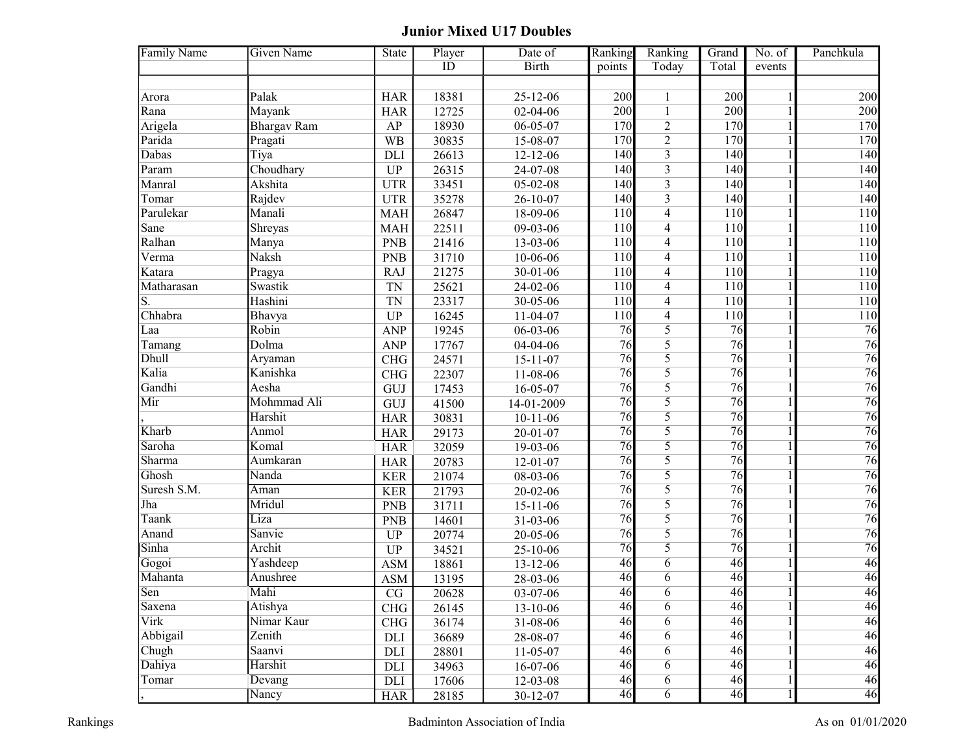## Junior Mixed U17 Doubles

| ID<br><b>Birth</b><br>Today<br>Total<br>points<br>events                                        |                 |
|-------------------------------------------------------------------------------------------------|-----------------|
|                                                                                                 |                 |
|                                                                                                 |                 |
| Palak<br>200<br>200<br>Arora<br><b>HAR</b><br>18381<br>25-12-06                                 | 200             |
| 200<br>$\overline{200}$<br>Rana<br>Mayank<br>12725<br>02-04-06<br>$\mathbf{1}$<br><b>HAR</b>    | 200             |
| $\overline{2}$<br>170<br>170<br>Arigela<br><b>Bhargav Ram</b><br>18930<br>$06 - 05 - 07$<br>AP  | 170             |
| $\overline{2}$<br>Parida<br>170<br>170<br>Pragati<br><b>WB</b><br>30835<br>15-08-07             | 170             |
| $\overline{3}$<br>Dabas<br>140<br>Tiya<br>26613<br>$12 - 12 - 06$<br>140<br>DLI                 | 140             |
| $\overline{3}$<br>Param<br>Choudhary<br>140<br>26315<br>24-07-08<br>140<br><b>UP</b>            | 140             |
| $\overline{3}$<br>Akshita<br>140<br>140<br>Manral<br>33451<br>$05 - 02 - 08$<br><b>UTR</b>      | 140             |
| $\overline{3}$<br>Rajdev<br>35278<br>140<br>140<br>Tomar<br><b>UTR</b><br>26-10-07              | 140             |
| Parulekar<br>Manali<br>$\overline{\mathbf{4}}$<br>26847<br>18-09-06<br>110<br>110<br><b>MAH</b> | 110             |
| $\overline{\mathbf{4}}$<br>110<br>Sane<br>Shreyas<br>22511<br>09-03-06<br>110<br><b>MAH</b>     | 110             |
| Ralhan<br>21416<br>110<br>$\overline{\mathbf{4}}$<br>110<br><b>PNB</b><br>13-03-06<br>Manya     | 110             |
| Naksh<br>Verma<br>110<br>$\overline{\mathbf{4}}$<br>110<br><b>PNB</b><br>31710<br>10-06-06      | 110             |
| Katara<br>110<br>$\overline{4}$<br>110<br>Pragya<br>21275<br>30-01-06<br><b>RAJ</b>             | 110             |
| Swastik<br>110<br>$\overline{4}$<br>110<br>Matharasan<br>25621<br>24-02-06<br><b>TN</b>         | 110             |
| S.<br>Hashini<br>110<br>$\overline{4}$<br><b>TN</b><br>23317<br>30-05-06<br>110                 | 110             |
| Chhabra<br>$\overline{4}$<br>110<br>Bhavya<br>11-04-07<br>110<br><b>UP</b><br>16245             | 110             |
| Robin<br>5<br>19245<br>$06 - 03 - 06$<br>$\overline{76}$<br>76<br><b>ANP</b><br>Laa             | 76              |
| 76<br>$\overline{5}$<br>Dolma<br>76<br><b>ANP</b><br>17767<br>04-04-06<br>Tamang                | 76              |
| 5<br>Dhull<br>76<br>76<br>Aryaman<br><b>CHG</b><br>24571<br>$15 - 11 - 07$                      | 76              |
| 5<br>Kalia<br>76<br>$\overline{76}$<br>Kanishka<br>22307<br><b>CHG</b><br>11-08-06              | 76              |
| 5<br>76<br>76<br>Gandhi<br>Aesha<br>17453<br>$16 - 05 - 07$<br>GUJ                              | 76              |
| Mohmmad Ali<br>76<br>5<br>76<br>Mir<br>41500<br>GUJ<br>14-01-2009                               | 76              |
| 76<br>5<br>$\overline{76}$<br>Harshit<br>30831<br><b>HAR</b><br>$10 - 11 - 06$                  | 76              |
| 5<br>Kharb<br>76<br>76<br>Anmol<br>29173<br>$20 - 01 - 07$<br><b>HAR</b>                        | 76              |
| Saroha<br>5<br>Komal<br>76<br>76<br>32059<br>19-03-06<br><b>HAR</b>                             | 76              |
| Sharma<br>76<br>5<br>$\overline{76}$<br>Aumkaran<br>20783<br>$12 - 01 - 07$<br><b>HAR</b>       | 76              |
| 5<br>Ghosh<br>76<br>76<br>Nanda<br><b>KER</b><br>21074<br>08-03-06                              | 76              |
| 5<br>Suresh S.M.<br>76<br>76<br>Aman<br><b>KER</b><br>21793<br>20-02-06                         | 76              |
| 5<br>Jha<br>76<br>$\overline{76}$<br>Mridul<br><b>PNB</b><br>31711<br>$15 - 11 - 06$            | 76              |
| 5<br>76<br>76<br>Taank<br>Liza<br><b>PNB</b><br>14601<br>31-03-06                               | 76              |
| 5<br>76<br>Anand<br>76<br>Sanvie<br><b>UP</b><br>20774<br>20-05-06                              | 76              |
| 5<br>$\overline{76}$<br>Sinha<br>76<br>Archit<br><b>UP</b><br>34521<br>25-10-06                 | $\overline{76}$ |
| 46<br>Yashdeep<br>46<br>$\overline{6}$<br>Gogoi<br><b>ASM</b><br>18861<br>13-12-06              | 46              |
| Mahanta<br>46<br>Anushree<br>46<br>6<br>28-03-06<br><b>ASM</b><br>13195                         | 46              |
| $\overline{6}$<br>46<br>Sen<br>Mahi<br>46<br>$\rm{CG}$<br>20628<br>03-07-06                     | 46              |
| 46<br>46<br>Saxena<br>Atishya<br>6<br>CHG<br>26145<br>13-10-06                                  | 46              |
| Virk<br>Nimar Kaur<br>46<br>46<br>6<br>CHG<br>36174<br>31-08-06                                 | 46              |
| Abbigail<br>Zenith<br>46<br>46<br>6<br>36689<br>28-08-07<br>DLI                                 | 46              |
| Chugh<br>46<br>Saanvi<br>46<br>6<br>DLI<br>28801<br>11-05-07                                    | 46              |
| 46<br>Dahiya<br>Harshit<br>46<br>6<br>DLI<br>34963<br>16-07-06                                  | 46              |
| 46<br>Tomar<br>46<br>6<br>Devang<br>$\rm{DLI}$<br>17606<br>12-03-08                             | 46              |
| $\overline{6}$<br>46<br>46<br>Nancy<br><b>HAR</b><br>28185<br>30-12-07                          | 46              |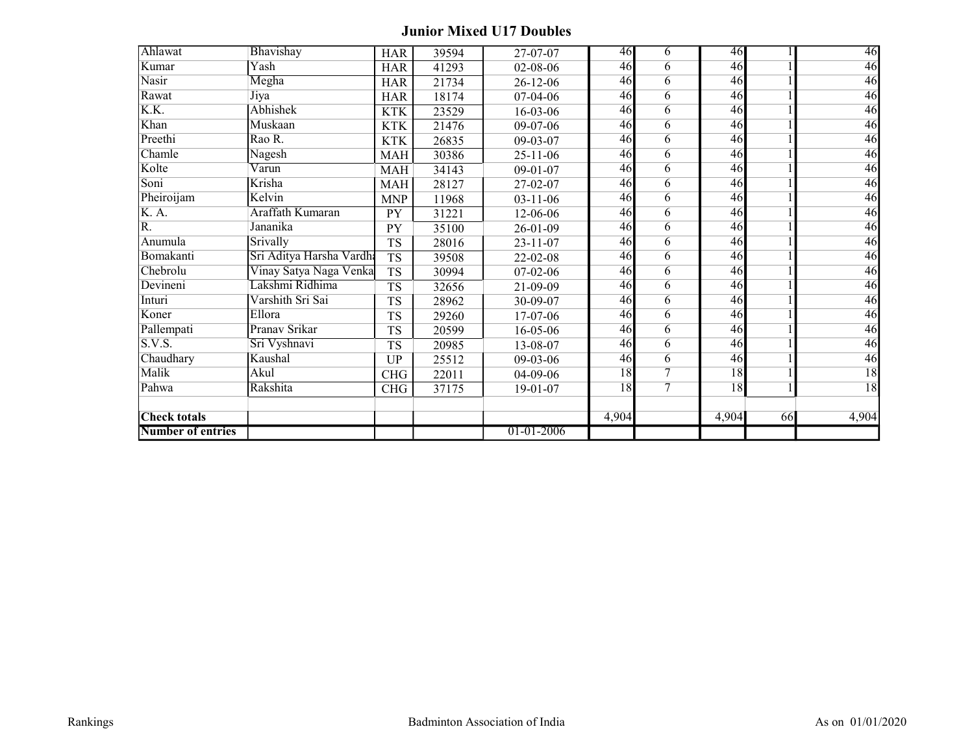## Junior Mixed U17 Doubles

| Ahlawat                  | Bhavishay                | <b>HAR</b> | 39594 | 27-07-07       | 46    | 6              | 46    |    | 46    |
|--------------------------|--------------------------|------------|-------|----------------|-------|----------------|-------|----|-------|
| Kumar                    | Yash                     | <b>HAR</b> | 41293 | 02-08-06       | 46    | 6              | 46    |    | 46    |
| <b>Nasir</b>             | Megha                    | <b>HAR</b> | 21734 | $26 - 12 - 06$ | 46    | 6              | 46    |    | 46    |
| Rawat                    | Jiya                     | <b>HAR</b> | 18174 | 07-04-06       | 46    | 6              | 46    |    | 46    |
| K.K.                     | Abhishek                 | <b>KTK</b> | 23529 | 16-03-06       | 46    | $\overline{6}$ | 46    |    | 46    |
| Khan                     | Muskaan                  | <b>KTK</b> | 21476 | 09-07-06       | 46    | 6              | 46    |    | 46    |
| Preethi                  | Rao R.                   | <b>KTK</b> | 26835 | 09-03-07       | 46    | 6              | 46    |    | 46    |
| Chamle                   | Nagesh                   | <b>MAH</b> | 30386 | $25 - 11 - 06$ | 46    | 6              | 46    |    | 46    |
| Kolte                    | Varun                    | <b>MAH</b> | 34143 | $09-01-07$     | 46    | $\overline{6}$ | 46    |    | 46    |
| Soni                     | Krisha                   | MAH        | 28127 | 27-02-07       | 46    | 6              | 46    |    | 46    |
| Pheiroijam               | Kelvin                   | <b>MNP</b> | 11968 | $03 - 11 - 06$ | 46    | 6              | 46    |    | 46    |
| K. A.                    | Araffath Kumaran         | PY         | 31221 | 12-06-06       | 46    | 6              | 46    |    | 46    |
| R.                       | Jananika                 | PY         | 35100 | $26 - 01 - 09$ | 46    | 6              | 46    |    | 46    |
| Anumula                  | Srivally                 | <b>TS</b>  | 28016 | $23 - 11 - 07$ | 46    | 6              | 46    |    | 46    |
| Bomakanti                | Sri Aditya Harsha Vardha | <b>TS</b>  | 39508 | 22-02-08       | 46    | 6              | 46    |    | 46    |
| Chebrolu                 | Vinay Satya Naga Venka   | <b>TS</b>  | 30994 | $07-02-06$     | 46    | 6              | 46    |    | 46    |
| Devineni                 | Lakshmi Ridhima          | <b>TS</b>  | 32656 | 21-09-09       | 46    | $\overline{6}$ | 46    |    | 46    |
| Inturi                   | Varshith Sri Sai         | <b>TS</b>  | 28962 | 30-09-07       | 46    | 6              | 46    |    | 46    |
| Koner                    | Ellora                   | <b>TS</b>  | 29260 | 17-07-06       | 46    | 6              | 46    |    | 46    |
| Pallempati               | Pranav Srikar            | <b>TS</b>  | 20599 | $16 - 05 - 06$ | 46    | 6              | 46    |    | 46    |
| S.V.S.                   | Sri Vyshnavi             | <b>TS</b>  | 20985 | 13-08-07       | 46    | $\overline{6}$ | 46    |    | 46    |
| Chaudhary                | Kaushal                  | UP         | 25512 | 09-03-06       | 46    | 6              | 46    |    | 46    |
| Malik                    | Akul                     | <b>CHG</b> | 22011 | 04-09-06       | 18    | $\overline{7}$ | 18    |    | 18    |
| Pahwa                    | Rakshita                 | <b>CHG</b> | 37175 | $19-01-07$     | 18    | $\overline{7}$ | 18    |    | 18    |
|                          |                          |            |       |                |       |                |       |    |       |
| <b>Check totals</b>      |                          |            |       |                | 4,904 |                | 4,904 | 66 | 4,904 |
| <b>Number of entries</b> |                          |            |       | 01-01-2006     |       |                |       |    |       |